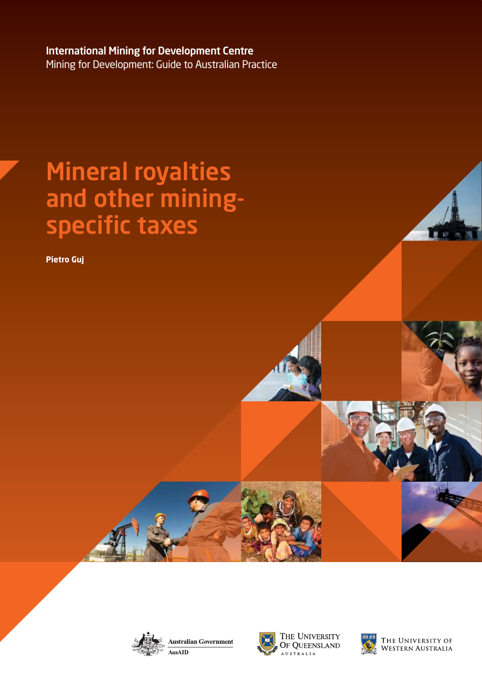International Mining for Development Centre Mining for Development: Guide to Australian Practice

# Mineral royalties and other miningspecific taxes

**Pietro Guj**





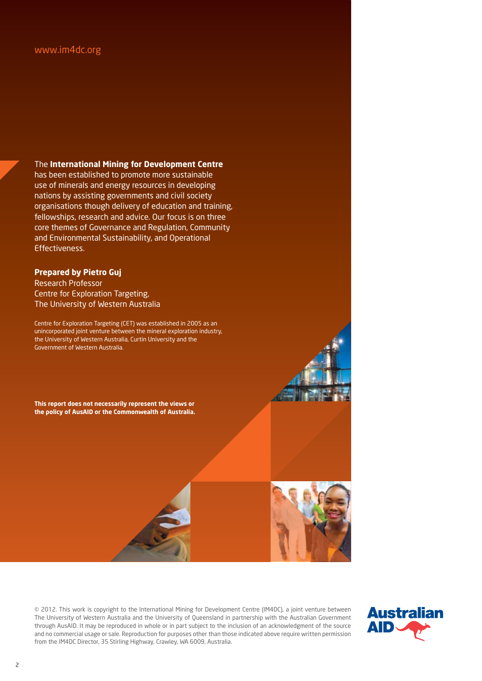#### www.im4dc.org

The **International Mining for Development Centre**

has been established to promote more sustainable use of minerals and energy resources in developing nations by assisting governments and civil society organisations though delivery of education and training, fellowships, research and advice. Our focus is on three core themes of Governance and Regulation, Community and Environmental Sustainability, and Operational Effectiveness.

#### **Prepared by Pietro Guj**

Research Professor Centre for Exploration Targeting, The University of Western Australia

Centre for Exploration Targeting (CET) was established in 2005 as an unincorporated joint venture between the mineral exploration industry, the University of Western Australia, Curtin University and the Government of Western Australia.

**This report does not necessarily represent the views or the policy of AusAID or the Commonwealth of Australia.**

© 2012. This work is copyright to the International Mining for Development Centre (IM4DC), a joint venture between The University of Western Australia and the University of Queensland in partnership with the Australian Government through AusAID. It may be reproduced in whole or in part subject to the inclusion of an acknowledgment of the source and no commercial usage or sale. Reproduction for purposes other than those indicated above require written permission from the IM4DC Director, 35 Stirling Highway, Crawley, WA 6009, Australia.

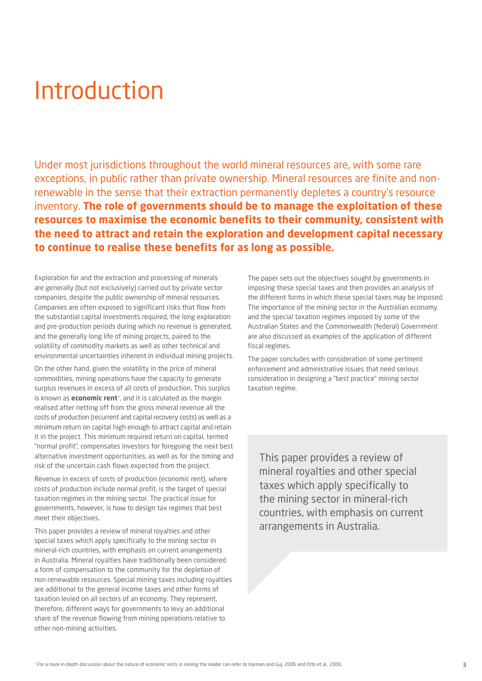## Introduction

Under most jurisdictions throughout the world mineral resources are, with some rare exceptions, in public rather than private ownership. Mineral resources are finite and nonrenewable in the sense that their extraction permanently depletes a country's resource inventory. **The role of governments should be to manage the exploitation of these resources to maximise the economic benefits to their community, consistent with the need to attract and retain the exploration and development capital necessary to continue to realise these benefits for as long as possible.**

Exploration for and the extraction and processing of minerals are generally (but not exclusively) carried out by private sector companies, despite the public ownership of mineral resources. Companies are often exposed to significant risks that flow from the substantial capital investments required, the long exploration and pre-production periods during which no revenue is generated, and the generally long life of mining projects, paired to the volatility of commodity markets as well as other technical and environmental uncertainties inherent in individual mining projects.

On the other hand, given the volatility in the price of mineral commodities, mining operations have the capacity to generate surplus revenues in excess of all costs of production. This surplus is known as **economic rent**1, and it is calculated as the margin realised after netting off from the gross mineral revenue all the costs of production (recurrent and capital recovery costs) as well as a minimum return on capital high enough to attract capital and retain it in the project. This minimum required return on capital, termed "normal profit", compensates investors for foregoing the next best alternative investment opportunities, as well as for the timing and risk of the uncertain cash flows expected from the project.

Revenue in excess of costs of production (economic rent), where costs of production include normal profit, is the target of special taxation regimes in the mining sector. The practical issue for governments, however, is how to design tax regimes that best meet their objectives.

This paper provides a review of mineral royalties and other special taxes which apply specifically to the mining sector in mineral-rich countries, with emphasis on current arrangements in Australia. Mineral royalties have traditionally been considered a form of compensation to the community for the depletion of non-renewable resources. Special mining taxes including royalties are additional to the general income taxes and other forms of taxation levied on all sectors of an economy. They represent, therefore, different ways for governments to levy an additional share of the revenue flowing from mining operations relative to other non-mining activities.

The paper sets out the objectives sought by governments in imposing these special taxes and then provides an analysis of the different forms in which these special taxes may be imposed. The importance of the mining sector in the Australian economy and the special taxation regimes imposed by some of the Australian States and the Commonwealth (federal) Government are also discussed as examples of the application of different fiscal regimes.

The paper concludes with consideration of some pertinent enforcement and administrative issues that need serious consideration in designing a "best practice" mining sector taxation regime.

This paper provides a review of mineral royalties and other special taxes which apply specifically to the mining sector in mineral-rich countries, with emphasis on current arrangements in Australia.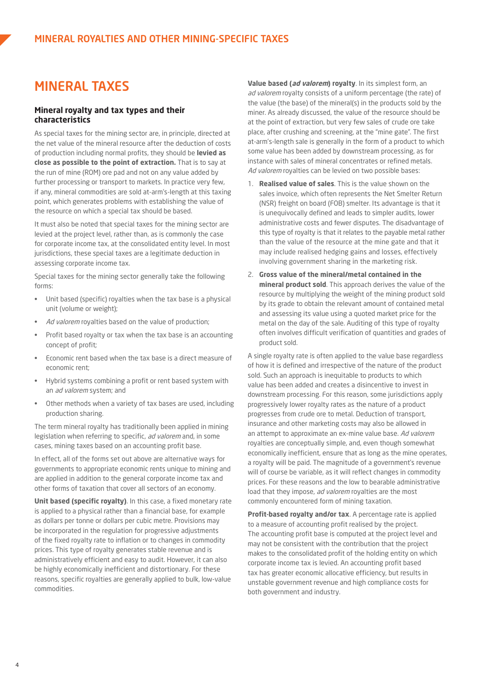## MINERAL TAXES

#### **Mineral royalty and tax types and their characteristics**

As special taxes for the mining sector are, in principle, directed at the net value of the mineral resource after the deduction of costs of production including normal profits, they should be **levied as close as possible to the point of extraction.** That is to say at the run of mine (ROM) ore pad and not on any value added by further processing or transport to markets. In practice very few, if any, mineral commodities are sold at-arm's-length at this taxing point, which generates problems with establishing the value of the resource on which a special tax should be based.

It must also be noted that special taxes for the mining sector are levied at the project level, rather than, as is commonly the case for corporate income tax, at the consolidated entity level. In most jurisdictions, these special taxes are a legitimate deduction in assessing corporate income tax.

Special taxes for the mining sector generally take the following forms:

- Unit based (specific) royalties when the tax base is a physical unit (volume or weight);
- Ad valorem royalties based on the value of production;
- Profit based royalty or tax when the tax base is an accounting concept of profit;
- Economic rent based when the tax base is a direct measure of economic rent;
- Hybrid systems combining a profit or rent based system with an *ad valorem* system; and
- Other methods when a variety of tax bases are used, including production sharing.

The term mineral royalty has traditionally been applied in mining legislation when referring to specific, ad valorem and, in some cases, mining taxes based on an accounting profit base.

In effect, all of the forms set out above are alternative ways for governments to appropriate economic rents unique to mining and are applied in addition to the general corporate income tax and other forms of taxation that cover all sectors of an economy.

**Unit based (specific royalty)**. In this case, a fixed monetary rate is applied to a physical rather than a financial base, for example as dollars per tonne or dollars per cubic metre. Provisions may be incorporated in the regulation for progressive adjustments of the fixed royalty rate to inflation or to changes in commodity prices. This type of royalty generates stable revenue and is administratively efficient and easy to audit. However, it can also be highly economically inefficient and distortionary. For these reasons, specific royalties are generally applied to bulk, low-value commodities.

**Value based (ad valorem) royalty**. In its simplest form, an ad valorem royalty consists of a uniform percentage (the rate) of the value (the base) of the mineral(s) in the products sold by the miner. As already discussed, the value of the resource should be at the point of extraction, but very few sales of crude ore take place, after crushing and screening, at the "mine gate". The first at-arm's-length sale is generally in the form of a product to which some value has been added by downstream processing, as for instance with sales of mineral concentrates or refined metals. Ad valorem royalties can be levied on two possible bases:

- 1. **Realised value of sales**. This is the value shown on the sales invoice, which often represents the Net Smelter Return (NSR) freight on board (FOB) smelter. Its advantage is that it is unequivocally defined and leads to simpler audits, lower administrative costs and fewer disputes. The disadvantage of this type of royalty is that it relates to the payable metal rather than the value of the resource at the mine gate and that it may include realised hedging gains and losses, effectively involving government sharing in the marketing risk.
- 2. **Gross value of the mineral/metal contained in the mineral product sold**. This approach derives the value of the resource by multiplying the weight of the mining product sold by its grade to obtain the relevant amount of contained metal and assessing its value using a quoted market price for the metal on the day of the sale. Auditing of this type of royalty often involves difficult verification of quantities and grades of product sold.

A single royalty rate is often applied to the value base regardless of how it is defined and irrespective of the nature of the product sold. Such an approach is inequitable to products to which value has been added and creates a disincentive to invest in downstream processing. For this reason, some jurisdictions apply progressively lower royalty rates as the nature of a product progresses from crude ore to metal. Deduction of transport, insurance and other marketing costs may also be allowed in an attempt to approximate an ex-mine value base. Ad valorem royalties are conceptually simple, and, even though somewhat economically inefficient, ensure that as long as the mine operates, a royalty will be paid. The magnitude of a government's revenue will of course be variable, as it will reflect changes in commodity prices. For these reasons and the low to bearable administrative load that they impose, ad valorem royalties are the most commonly encountered form of mining taxation.

**Profit-based royalty and/or tax**. A percentage rate is applied to a measure of accounting profit realised by the project. The accounting profit base is computed at the project level and may not be consistent with the contribution that the project makes to the consolidated profit of the holding entity on which corporate income tax is levied. An accounting profit based tax has greater economic allocative efficiency, but results in unstable government revenue and high compliance costs for both government and industry.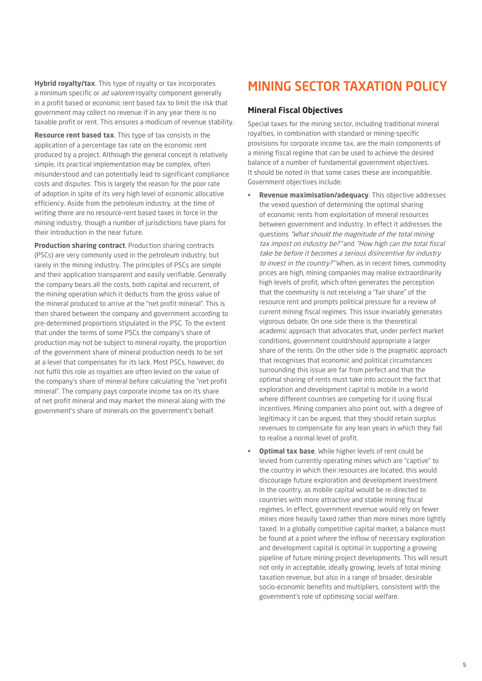**Hybrid royalty/tax**. This type of royalty or tax incorporates a minimum specific or ad valorem royalty component generally in a profit based or economic rent based tax to limit the risk that government may collect no revenue if in any year there is no taxable profit or rent. This ensures a modicum of revenue stability.

**Resource rent based tax**. This type of tax consists in the application of a percentage tax rate on the economic rent produced by a project. Although the general concept is relatively simple, its practical implementation may be complex, often misunderstood and can potentially lead to significant compliance costs and disputes. This is largely the reason for the poor rate of adoption in spite of its very high level of economic allocative efficiency. Aside from the petroleum industry, at the time of writing there are no resource-rent based taxes in force in the mining industry, though a number of jurisdictions have plans for their introduction in the near future.

**Production sharing contract**. Production sharing contracts (PSCs) are very commonly used in the petroleum industry, but rarely in the mining industry. The principles of PSCs are simple and their application transparent and easily verifiable. Generally the company bears all the costs, both capital and recurrent, of the mining operation which it deducts from the gross value of the mineral produced to arrive at the "net profit mineral". This is then shared between the company and government according to pre-determined proportions stipulated in the PSC. To the extent that under the terms of some PSCs the company's share of production may not be subject to mineral royalty, the proportion of the government share of mineral production needs to be set at a level that compensates for its lack. Most PSCs, however, do not fulfil this role as royalties are often levied on the value of the company's share of mineral before calculating the "net profit mineral". The company pays corporate income tax on its share of net profit mineral and may market the mineral along with the government's share of minerals on the government's behalf.

## MINING SECTOR TAXATION POLICY

#### **Mineral Fiscal Objectives**

Special taxes for the mining sector, including traditional mineral royalties, in combination with standard or mining-specific provisions for corporate income tax, are the main components of a mining fiscal regime that can be used to achieve the desired balance of a number of fundamental government objectives. It should be noted in that some cases these are incompatible. Government objectives include:

- • **Revenue maximisation/adequacy**. This objective addresses the vexed question of determining the optimal sharing of economic rents from exploitation of mineral resources between government and industry. In effect it addresses the questions "What should the magnitude of the total mining tax impost on industry be?" and "How high can the total fiscal take be before it becomes a serious disincentive for industry to invest in the country?" When, as in recent times, commodity prices are high, mining companies may realise extraordinarily high levels of profit, which often generates the perception that the community is not receiving a "fair share" of the resource rent and prompts political pressure for a review of current mining fiscal regimes. This issue invariably generates vigorous debate. On one side there is the theoretical academic approach that advocates that, under perfect market conditions, government could/should appropriate a larger share of the rents. On the other side is the pragmatic approach that recognises that economic and political circumstances surrounding this issue are far from perfect and that the optimal sharing of rents must take into account the fact that exploration and development capital is mobile in a world where different countries are competing for it using fiscal incentives. Mining companies also point out, with a degree of legitimacy it can be argued, that they should retain surplus revenues to compensate for any lean years in which they fail to realise a normal level of profit.
- **Optimal tax base**. While higher levels of rent could be levied from currently operating mines which are "captive" to the country in which their resources are located, this would discourage future exploration and development investment in the country, as mobile capital would be re-directed to countries with more attractive and stable mining fiscal regimes. In effect, government revenue would rely on fewer mines more heavily taxed rather than more mines more lightly taxed. In a globally competitive capital market, a balance must be found at a point where the inflow of necessary exploration and development capital is optimal in supporting a growing pipeline of future mining project developments. This will result not only in acceptable, ideally growing, levels of total mining taxation revenue, but also in a range of broader, desirable socio-economic benefits and multipliers, consistent with the government's role of optimising social welfare.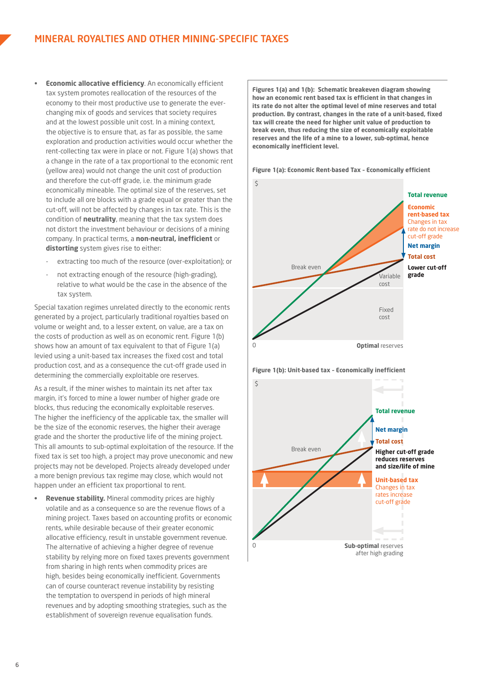- **Economic allocative efficiency**. An economically efficient tax system promotes reallocation of the resources of the economy to their most productive use to generate the everchanging mix of goods and services that society requires and at the lowest possible unit cost. In a mining context, the objective is to ensure that, as far as possible, the same exploration and production activities would occur whether the rent-collecting tax were in place or not. Figure 1(a) shows that a change in the rate of a tax proportional to the economic rent (yellow area) would not change the unit cost of production and therefore the cut-off grade, i.e. the minimum grade economically mineable. The optimal size of the reserves, set to include all ore blocks with a grade equal or greater than the cut-off, will not be affected by changes in tax rate. This is the condition of **neutrality**, meaning that the tax system does not distort the investment behaviour or decisions of a mining company. In practical terms, a **non-neutral, inefficient** or **distorting** system gives rise to either:
	- extracting too much of the resource (over-exploitation); or
	- not extracting enough of the resource (high-grading), relative to what would be the case in the absence of the tax system.

Special taxation regimes unrelated directly to the economic rents generated by a project, particularly traditional royalties based on volume or weight and, to a lesser extent, on value, are a tax on the costs of production as well as on economic rent. Figure 1(b) shows how an amount of tax equivalent to that of Figure 1(a) levied using a unit-based tax increases the fixed cost and total production cost, and as a consequence the cut-off grade used in determining the commercially exploitable ore reserves.

As a result, if the miner wishes to maintain its net after tax margin, it's forced to mine a lower number of higher grade ore blocks, thus reducing the economically exploitable reserves. The higher the inefficiency of the applicable tax, the smaller will be the size of the economic reserves, the higher their average grade and the shorter the productive life of the mining project. This all amounts to sub-optimal exploitation of the resource. If the fixed tax is set too high, a project may prove uneconomic and new projects may not be developed. Projects already developed under a more benign previous tax regime may close, which would not happen under an efficient tax proportional to rent.

**Revenue stability.** Mineral commodity prices are highly volatile and as a consequence so are the revenue flows of a mining project. Taxes based on accounting profits or economic rents, while desirable because of their greater economic allocative efficiency, result in unstable government revenue. The alternative of achieving a higher degree of revenue stability by relying more on fixed taxes prevents government from sharing in high rents when commodity prices are high, besides being economically inefficient. Governments can of course counteract revenue instability by resisting the temptation to overspend in periods of high mineral revenues and by adopting smoothing strategies, such as the establishment of sovereign revenue equalisation funds.

**Figures 1(a) and 1(b): Schematic breakeven diagram showing how an economic rent based tax is efficient in that changes in its rate do not alter the optimal level of mine reserves and total production. By contrast, changes in the rate of a unit-based, fixed tax will create the need for higher unit value of production to break even, thus reducing the size of economically exploitable reserves and the life of a mine to a lower, sub-optimal, hence economically inefficient level.** 

**Figure 1(a): Economic Rent-based Tax – Economically efficient**





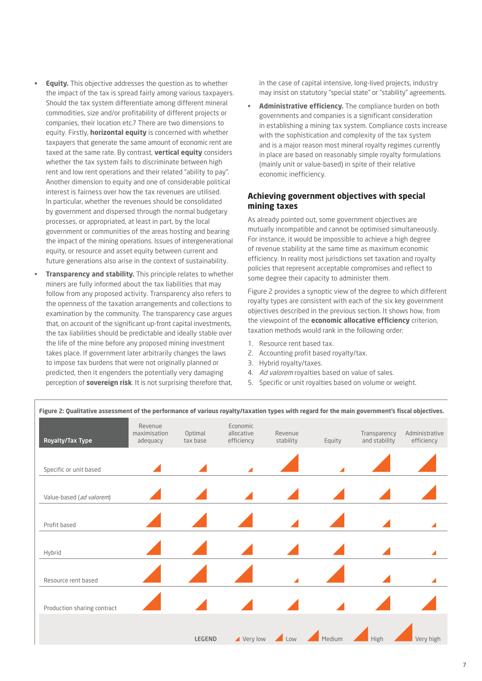- **Equity.** This objective addresses the question as to whether the impact of the tax is spread fairly among various taxpayers. Should the tax system differentiate among different mineral commodities, size and/or profitability of different projects or companies, their location etc.? There are two dimensions to equity. Firstly, **horizontal equity** is concerned with whether taxpayers that generate the same amount of economic rent are taxed at the same rate. By contrast, **vertical equity** considers whether the tax system fails to discriminate between high rent and low rent operations and their related "ability to pay". Another dimension to equity and one of considerable political interest is fairness over how the tax revenues are utilised. In particular, whether the revenues should be consolidated by government and dispersed through the normal budgetary processes, or appropriated, at least in part, by the local government or communities of the areas hosting and bearing the impact of the mining operations. Issues of intergenerational equity, or resource and asset equity between current and future generations also arise in the context of sustainability.
- **Transparency and stability.** This principle relates to whether miners are fully informed about the tax liabilities that may follow from any proposed activity. Transparency also refers to the openness of the taxation arrangements and collections to examination by the community. The transparency case argues that, on account of the significant up-front capital investments, the tax liabilities should be predictable and ideally stable over the life of the mine before any proposed mining investment takes place. If government later arbitrarily changes the laws to impose tax burdens that were not originally planned or predicted, then it engenders the potentially very damaging perception of **sovereign risk**. It is not surprising therefore that,

in the case of capital intensive, long-lived projects, industry may insist on statutory "special state" or "stability" agreements.

Administrative efficiency. The compliance burden on both governments and companies is a significant consideration in establishing a mining tax system. Compliance costs increase with the sophistication and complexity of the tax system and is a major reason most mineral royalty regimes currently in place are based on reasonably simple royalty formulations (mainly unit or value-based) in spite of their relative economic inefficiency.

#### **Achieving government objectives with special mining taxes**

As already pointed out, some government objectives are mutually incompatible and cannot be optimised simultaneously. For instance, it would be impossible to achieve a high degree of revenue stability at the same time as maximum economic efficiency. In reality most jurisdictions set taxation and royalty policies that represent acceptable compromises and reflect to some degree their capacity to administer them.

Figure 2 provides a synoptic view of the degree to which different royalty types are consistent with each of the six key government objectives described in the previous section. It shows how, from the viewpoint of the **economic allocative efficiency** criterion, taxation methods would rank in the following order:

- 1. Resource rent based tax.
- 2. Accounting profit based royalty/tax.
- 3. Hybrid royalty/taxes.
- 4. Ad valorem royalties based on value of sales.
- 5. Specific or unit royalties based on volume or weight.



**Figure 2: Qualitative assessment of the performance of various royalty/taxation types with regard for the main government's fiscal objectives.**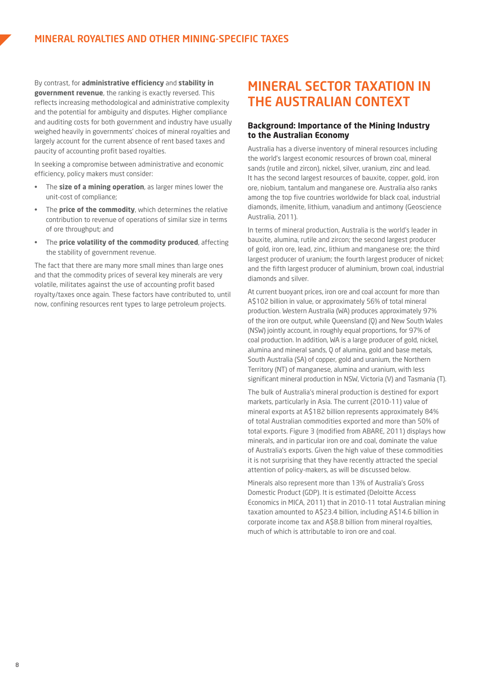By contrast, for **administrative efficiency** and **stability in government revenue**, the ranking is exactly reversed. This reflects increasing methodological and administrative complexity and the potential for ambiguity and disputes. Higher compliance and auditing costs for both government and industry have usually weighed heavily in governments' choices of mineral royalties and largely account for the current absence of rent based taxes and paucity of accounting profit based royalties.

In seeking a compromise between administrative and economic efficiency, policy makers must consider:

- • The **size of a mining operation**, as larger mines lower the unit-cost of compliance;
- The **price of the commodity**, which determines the relative contribution to revenue of operations of similar size in terms of ore throughput; and
- The **price volatility of the commodity produced**, affecting the stability of government revenue.

The fact that there are many more small mines than large ones and that the commodity prices of several key minerals are very volatile, militates against the use of accounting profit based royalty/taxes once again. These factors have contributed to, until now, confining resources rent types to large petroleum projects.

## MINERAL SECTOR TAXATION IN THE AUSTRALIAN CONTEXT

#### **Background: Importance of the Mining Industry to the Australian Economy**

Australia has a diverse inventory of mineral resources including the world's largest economic resources of brown coal, mineral sands (rutile and zircon), nickel, silver, uranium, zinc and lead. It has the second largest resources of bauxite, copper, gold, iron ore, niobium, tantalum and manganese ore. Australia also ranks among the top five countries worldwide for black coal, industrial diamonds, ilmenite, lithium, vanadium and antimony (Geoscience Australia, 2011).

In terms of mineral production, Australia is the world's leader in bauxite, alumina, rutile and zircon; the second largest producer of gold, iron ore, lead, zinc, lithium and manganese ore; the third largest producer of uranium; the fourth largest producer of nickel; and the fifth largest producer of aluminium, brown coal, industrial diamonds and silver.

At current buoyant prices, iron ore and coal account for more than A\$102 billion in value, or approximately 56% of total mineral production. Western Australia (WA) produces approximately 97% of the iron ore output, while Queensland (Q) and New South Wales (NSW) jointly account, in roughly equal proportions, for 97% of coal production. In addition, WA is a large producer of gold, nickel, alumina and mineral sands, Q of alumina, gold and base metals, South Australia (SA) of copper, gold and uranium, the Northern Territory (NT) of manganese, alumina and uranium, with less significant mineral production in NSW, Victoria (V) and Tasmania (T).

The bulk of Australia's mineral production is destined for export markets, particularly in Asia. The current (2010-11) value of mineral exports at A\$182 billion represents approximately 84% of total Australian commodities exported and more than 50% of total exports. Figure 3 (modified from ABARE, 2011) displays how minerals, and in particular iron ore and coal, dominate the value of Australia's exports. Given the high value of these commodities it is not surprising that they have recently attracted the special attention of policy-makers, as will be discussed below.

Minerals also represent more than 13% of Australia's Gross Domestic Product (GDP). It is estimated (Deloitte Access Economics in MICA, 2011) that in 2010-11 total Australian mining taxation amounted to A\$23.4 billion, including A\$14.6 billion in corporate income tax and A\$8.8 billion from mineral royalties, much of which is attributable to iron ore and coal.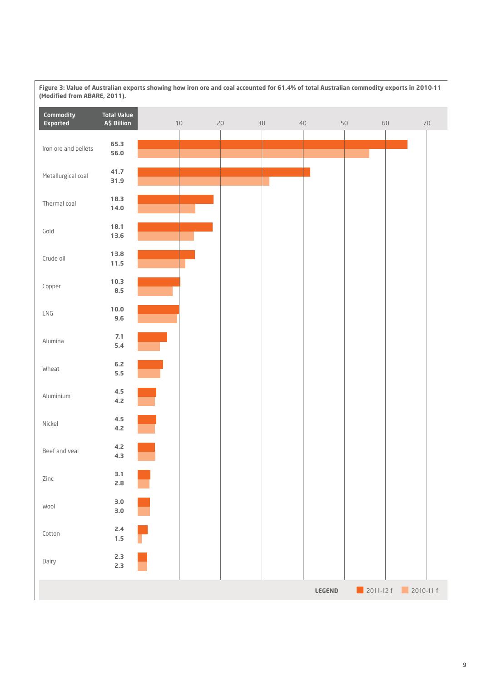

**Figure 3: Value of Australian exports showing how iron ore and coal accounted for 61.4% of total Australian commodity exports in 2010-11 (Modified from ABARE, 2011).**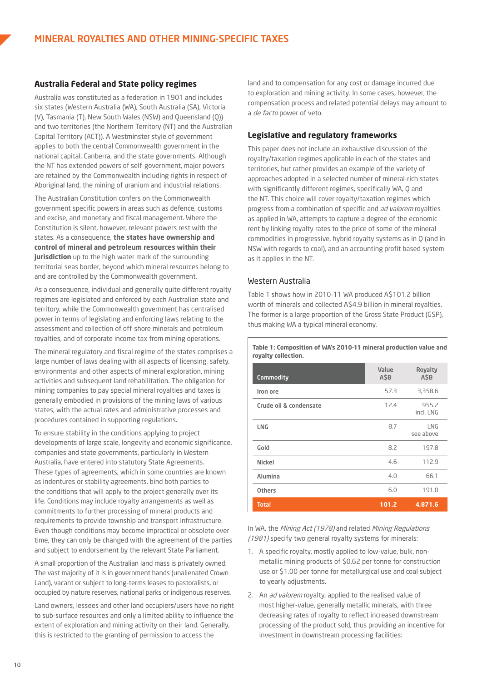#### **Australia Federal and State policy regimes**

Australia was constituted as a federation in 1901 and includes six states (Western Australia (WA), South Australia (SA), Victoria (V), Tasmania (T), New South Wales (NSW) and Queensland (Q)) and two territories (the Northern Territory (NT) and the Australian Capital Territory (ACT)). A Westminster style of government applies to both the central Commonwealth government in the national capital, Canberra, and the state governments. Although the NT has extended powers of self-government, major powers are retained by the Commonwealth including rights in respect of Aboriginal land, the mining of uranium and industrial relations.

The Australian Constitution confers on the Commonwealth government specific powers in areas such as defence, customs and excise, and monetary and fiscal management. Where the Constitution is silent, however, relevant powers rest with the states. As a consequence, **the states have ownership and control of mineral and petroleum resources within their jurisdiction** up to the high water mark of the surrounding territorial seas border, beyond which mineral resources belong to and are controlled by the Commonwealth government.

As a consequence, individual and generally quite different royalty regimes are legislated and enforced by each Australian state and territory, while the Commonwealth government has centralised power in terms of legislating and enforcing laws relating to the assessment and collection of off-shore minerals and petroleum royalties, and of corporate income tax from mining operations.

The mineral regulatory and fiscal regime of the states comprises a large number of laws dealing with all aspects of licensing, safety, environmental and other aspects of mineral exploration, mining activities and subsequent land rehabilitation. The obligation for mining companies to pay special mineral royalties and taxes is generally embodied in provisions of the mining laws of various states, with the actual rates and administrative processes and procedures contained in supporting regulations.

To ensure stability in the conditions applying to project developments of large scale, longevity and economic significance, companies and state governments, particularly in Western Australia, have entered into statutory State Agreements. These types of agreements, which in some countries are known as indentures or stability agreements, bind both parties to the conditions that will apply to the project generally over its life. Conditions may include royalty arrangements as well as commitments to further processing of mineral products and requirements to provide township and transport infrastructure. Even though conditions may become impractical or obsolete over time, they can only be changed with the agreement of the parties and subject to endorsement by the relevant State Parliament.

A small proportion of the Australian land mass is privately owned. The vast majority of it is in government hands (unalienated Crown Land), vacant or subject to long-terms leases to pastoralists, or occupied by nature reserves, national parks or indigenous reserves.

Land owners, lessees and other land occupiers/users have no right to sub-surface resources and only a limited ability to influence the extent of exploration and mining activity on their land. Generally, this is restricted to the granting of permission to access the

land and to compensation for any cost or damage incurred due to exploration and mining activity. In some cases, however, the compensation process and related potential delays may amount to a de facto power of veto.

#### **Legislative and regulatory frameworks**

This paper does not include an exhaustive discussion of the royalty/taxation regimes applicable in each of the states and territories, but rather provides an example of the variety of approaches adopted in a selected number of mineral-rich states with significantly different regimes, specifically WA, Q and the NT. This choice will cover royalty/taxation regimes which progress from a combination of specific and ad valorem royalties as applied in WA, attempts to capture a degree of the economic rent by linking royalty rates to the price of some of the mineral commodities in progressive, hybrid royalty systems as in Q (and in NSW with regards to coal), and an accounting profit based system as it applies in the NT.

#### Western Australia

Table 1 shows how in 2010-11 WA produced A\$101.2 billion worth of minerals and collected A\$4.9 billion in mineral royalties. The former is a large proportion of the Gross State Product (GSP), thus making WA a typical mineral economy.

**Table 1: Composition of WA's 2010-11 mineral production value and royalty collection.**

| Commodity              | Value<br>ASB | Royalty<br>A\$B    |
|------------------------|--------------|--------------------|
| Iron ore               | 57.3         | 3,358.6            |
| Crude oil & condensate | 12.4         | 955.2<br>incl. LNG |
| <b>LNG</b>             | 8.7          | LNG<br>see above   |
| Gold                   | 8.2          | 197.8              |
| Nickel                 | 4.6          | 112.9              |
| Alumina                | 4.0          | 66.1               |
| <b>Others</b>          | 6.0          | 191.0              |
| <b>Total</b>           | 101.2        | 4,871.6            |

In WA, the Mining Act (1978) and related Mining Regulations (1981) specify two general royalty systems for minerals:

- 1. A specific royalty, mostly applied to low-value, bulk, nonmetallic mining products of \$0.62 per tonne for construction use or \$1.00 per tonne for metallurgical use and coal subject to yearly adjustments.
- 2. An *ad valorem* rovalty, applied to the realised value of most higher-value, generally metallic minerals, with three decreasing rates of royalty to reflect increased downstream processing of the product sold, thus providing an incentive for investment in downstream processing facilities: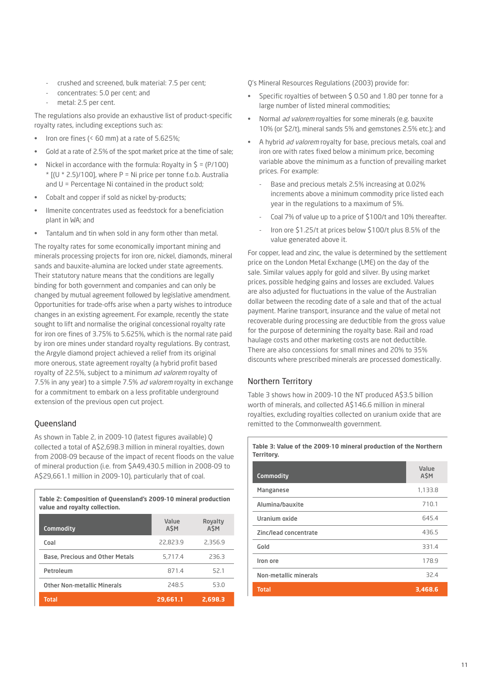- crushed and screened, bulk material: 7.5 per cent;
- concentrates: 5.0 per cent; and
- metal: 2.5 per cent.

The regulations also provide an exhaustive list of product-specific royalty rates, including exceptions such as:

- Iron ore fines ( $<$  60 mm) at a rate of 5.625%;
- Gold at a rate of 2.5% of the spot market price at the time of sale:
- Nickel in accordance with the formula: Royalty in  $\zeta = (P/100)$  $*$  [(U  $*$  2.5)/100], where P = Ni price per tonne f.o.b. Australia and U = Percentage Ni contained in the product sold;
- Cobalt and copper if sold as nickel by-products;
- Ilmenite concentrates used as feedstock for a beneficiation plant in WA; and
- Tantalum and tin when sold in any form other than metal.

The royalty rates for some economically important mining and minerals processing projects for iron ore, nickel, diamonds, mineral sands and bauxite-alumina are locked under state agreements. Their statutory nature means that the conditions are legally binding for both government and companies and can only be changed by mutual agreement followed by legislative amendment. Opportunities for trade-offs arise when a party wishes to introduce changes in an existing agreement. For example, recently the state sought to lift and normalise the original concessional royalty rate for iron ore fines of 3.75% to 5.625%, which is the normal rate paid by iron ore mines under standard royalty regulations. By contrast, the Argyle diamond project achieved a relief from its original more onerous, state agreement royalty (a hybrid profit based royalty of 22.5%, subject to a minimum ad valorem royalty of 7.5% in any year) to a simple 7.5% ad valorem royalty in exchange for a commitment to embark on a less profitable underground extension of the previous open cut project.

#### Queensland

As shown in Table 2, in 2009-10 (latest figures available) Q collected a total of A\$2,698.3 million in mineral royalties, down from 2008-09 because of the impact of recent floods on the value of mineral production (i.e. from \$A49,430.5 million in 2008-09 to A\$29,661.1 million in 2009-10), particularly that of coal.

**Table 2: Composition of Queensland's 2009-10 mineral production value and royalty collection.**

| Commodity                              | Value<br><b>ASM</b> | Royalty<br><b>ASM</b> |
|----------------------------------------|---------------------|-----------------------|
| Coal                                   | 22,823.9            | 2,356.9               |
| <b>Base, Precious and Other Metals</b> | 5,717.4             | 236.3                 |
| Petroleum                              | 871.4               | 52.1                  |
| <b>Other Non-metallic Minerals</b>     | 248.5               | 53.0                  |
| <b>Total</b>                           | 29,661.1            | 2,698.3               |

Q's Mineral Resources Regulations (2003) provide for:

- Specific royalties of between \$ 0.50 and 1.80 per tonne for a large number of listed mineral commodities;
- Normal *ad valorem* royalties for some minerals (e.g. bauxite 10% (or \$2/t), mineral sands 5% and gemstones 2.5% etc.); and
- A hybrid *ad valorem* royalty for base, precious metals, coal and iron ore with rates fixed below a minimum price, becoming variable above the minimum as a function of prevailing market prices. For example:
	- Base and precious metals 2.5% increasing at 0.02% increments above a minimum commodity price listed each year in the regulations to a maximum of 5%.
	- Coal 7% of value up to a price of \$100/t and 10% thereafter.
	- Iron ore \$1.25/t at prices below \$100/t plus 8.5% of the value generated above it.

For copper, lead and zinc, the value is determined by the settlement price on the London Metal Exchange (LME) on the day of the sale. Similar values apply for gold and silver. By using market prices, possible hedging gains and losses are excluded. Values are also adjusted for fluctuations in the value of the Australian dollar between the recoding date of a sale and that of the actual payment. Marine transport, insurance and the value of metal not recoverable during processing are deductible from the gross value for the purpose of determining the royalty base. Rail and road haulage costs and other marketing costs are not deductible. There are also concessions for small mines and 20% to 35% discounts where prescribed minerals are processed domestically.

#### Northern Territory

Table 3 shows how in 2009-10 the NT produced A\$3.5 billion worth of minerals, and collected A\$146.6 million in mineral royalties, excluding royalties collected on uranium oxide that are remitted to the Commonwealth government.

#### **Table 3: Value of the 2009-10 mineral production of the Northern Territory.**

| <b>Commodity</b>             | Value<br>A\$M |
|------------------------------|---------------|
| <b>Manganese</b>             | 1,133.8       |
| Alumina/bauxite              | 710.1         |
| Uranium oxide                | 645.4         |
| Zinc/lead concentrate        | 436.5         |
| Gold                         | 331.4         |
| Iron ore                     | 178.9         |
| <b>Non-metallic minerals</b> | 32.4          |
| <b>Total</b>                 | 3,468.6       |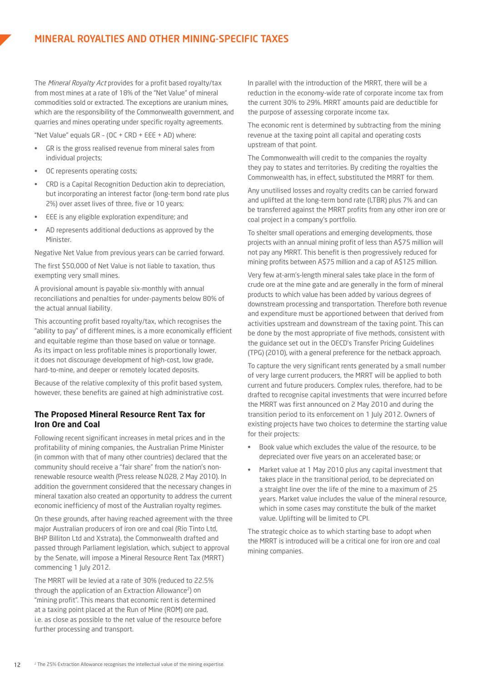The Mineral Royalty Act provides for a profit based royalty/tax from most mines at a rate of 18% of the "Net Value" of mineral commodities sold or extracted. The exceptions are uranium mines, which are the responsibility of the Commonwealth government, and quarries and mines operating under specific royalty agreements.

"Net Value" equals  $GR - (OC + CRD + EEE + AD)$  where:

- GR is the gross realised revenue from mineral sales from individual projects;
- OC represents operating costs;
- CRD is a Capital Recognition Deduction akin to depreciation, but incorporating an interest factor (long-term bond rate plus 2%) over asset lives of three, five or 10 years;
- EEE is any eligible exploration expenditure; and
- AD represents additional deductions as approved by the **Minister**

Negative Net Value from previous years can be carried forward.

The first \$50,000 of Net Value is not liable to taxation, thus exempting very small mines.

A provisional amount is payable six-monthly with annual reconciliations and penalties for under-payments below 80% of the actual annual liability.

This accounting profit based royalty/tax, which recognises the "ability to pay" of different mines, is a more economically efficient and equitable regime than those based on value or tonnage. As its impact on less profitable mines is proportionally lower, it does not discourage development of high-cost, low grade, hard-to-mine, and deeper or remotely located deposits.

Because of the relative complexity of this profit based system, however, these benefits are gained at high administrative cost.

#### **The Proposed Mineral Resource Rent Tax for Iron Ore and Coal**

Following recent significant increases in metal prices and in the profitability of mining companies, the Australian Prime Minister (in common with that of many other countries) declared that the community should receive a "fair share" from the nation's nonrenewable resource wealth (Press release N.028, 2 May 2010). In addition the government considered that the necessary changes in mineral taxation also created an opportunity to address the current economic inefficiency of most of the Australian royalty regimes.

On these grounds, after having reached agreement with the three major Australian producers of iron ore and coal (Rio Tinto Ltd, BHP Billiton Ltd and Xstrata), the Commonwealth drafted and passed through Parliament legislation, which, subject to approval by the Senate, will impose a Mineral Resource Rent Tax (MRRT) commencing 1 July 2012.

The MRRT will be levied at a rate of 30% (reduced to 22.5% through the application of an Extraction Allowance2) on "mining profit". This means that economic rent is determined at a taxing point placed at the Run of Mine (ROM) ore pad, i.e. as close as possible to the net value of the resource before further processing and transport.

In parallel with the introduction of the MRRT, there will be a reduction in the economy-wide rate of corporate income tax from the current 30% to 29%. MRRT amounts paid are deductible for the purpose of assessing corporate income tax.

The economic rent is determined by subtracting from the mining revenue at the taxing point all capital and operating costs upstream of that point.

The Commonwealth will credit to the companies the royalty they pay to states and territories. By crediting the royalties the Commonwealth has, in effect, substituted the MRRT for them.

Any unutilised losses and royalty credits can be carried forward and uplifted at the long-term bond rate (LTBR) plus 7% and can be transferred against the MRRT profits from any other iron ore or coal project in a company's portfolio.

To shelter small operations and emerging developments, those projects with an annual mining profit of less than A\$75 million will not pay any MRRT. This benefit is then progressively reduced for mining profits between A\$75 million and a cap of A\$125 million.

Very few at-arm's-length mineral sales take place in the form of crude ore at the mine gate and are generally in the form of mineral products to which value has been added by various degrees of downstream processing and transportation. Therefore both revenue and expenditure must be apportioned between that derived from activities upstream and downstream of the taxing point. This can be done by the most appropriate of five methods, consistent with the guidance set out in the OECD's Transfer Pricing Guidelines (TPG) (2010), with a general preference for the netback approach.

To capture the very significant rents generated by a small number of very large current producers, the MRRT will be applied to both current and future producers. Complex rules, therefore, had to be drafted to recognise capital investments that were incurred before the MRRT was first announced on 2 May 2010 and during the transition period to its enforcement on 1 July 2012. Owners of existing projects have two choices to determine the starting value for their projects:

- Book value which excludes the value of the resource, to be depreciated over five years on an accelerated base; or
- Market value at 1 May 2010 plus any capital investment that takes place in the transitional period, to be depreciated on a straight line over the life of the mine to a maximum of 25 years. Market value includes the value of the mineral resource, which in some cases may constitute the bulk of the market value. Uplifting will be limited to CPI.

The strategic choice as to which starting base to adopt when the MRRT is introduced will be a critical one for iron ore and coal mining companies.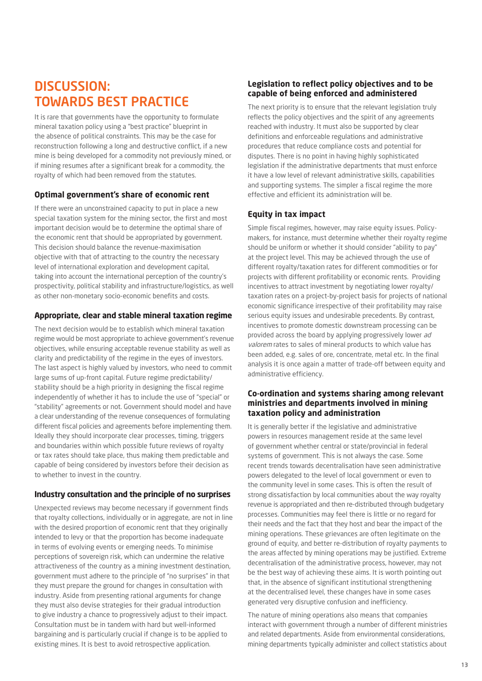## DISCUSSION: TOWARDS BEST PRACTICE

It is rare that governments have the opportunity to formulate mineral taxation policy using a "best practice" blueprint in the absence of political constraints. This may be the case for reconstruction following a long and destructive conflict, if a new mine is being developed for a commodity not previously mined, or if mining resumes after a significant break for a commodity, the royalty of which had been removed from the statutes.

#### **Optimal government's share of economic rent**

If there were an unconstrained capacity to put in place a new special taxation system for the mining sector, the first and most important decision would be to determine the optimal share of the economic rent that should be appropriated by government. This decision should balance the revenue-maximisation objective with that of attracting to the country the necessary level of international exploration and development capital, taking into account the international perception of the country's prospectivity, political stability and infrastructure/logistics, as well as other non-monetary socio-economic benefits and costs.

#### **Appropriate, clear and stable mineral taxation regime**

The next decision would be to establish which mineral taxation regime would be most appropriate to achieve government's revenue objectives, while ensuring acceptable revenue stability as well as clarity and predictability of the regime in the eyes of investors. The last aspect is highly valued by investors, who need to commit large sums of up-front capital. Future regime predictability/ stability should be a high priority in designing the fiscal regime independently of whether it has to include the use of "special" or "stability" agreements or not. Government should model and have a clear understanding of the revenue consequences of formulating different fiscal policies and agreements before implementing them. Ideally they should incorporate clear processes, timing, triggers and boundaries within which possible future reviews of royalty or tax rates should take place, thus making them predictable and capable of being considered by investors before their decision as to whether to invest in the country.

#### **Industry consultation and the principle of no surprises**

Unexpected reviews may become necessary if government finds that royalty collections, individually or in aggregate, are not in line with the desired proportion of economic rent that they originally intended to levy or that the proportion has become inadequate in terms of evolving events or emerging needs. To minimise perceptions of sovereign risk, which can undermine the relative attractiveness of the country as a mining investment destination, government must adhere to the principle of "no surprises" in that they must prepare the ground for changes in consultation with industry. Aside from presenting rational arguments for change they must also devise strategies for their gradual introduction to give industry a chance to progressively adjust to their impact. Consultation must be in tandem with hard but well-informed bargaining and is particularly crucial if change is to be applied to existing mines. It is best to avoid retrospective application.

#### **Legislation to reflect policy objectives and to be capable of being enforced and administered**

The next priority is to ensure that the relevant legislation truly reflects the policy objectives and the spirit of any agreements reached with industry. It must also be supported by clear definitions and enforceable regulations and administrative procedures that reduce compliance costs and potential for disputes. There is no point in having highly sophisticated legislation if the administrative departments that must enforce it have a low level of relevant administrative skills, capabilities and supporting systems. The simpler a fiscal regime the more effective and efficient its administration will be.

#### **Equity in tax impact**

Simple fiscal regimes, however, may raise equity issues. Policymakers, for instance, must determine whether their royalty regime should be uniform or whether it should consider "ability to pay" at the project level. This may be achieved through the use of different royalty/taxation rates for different commodities or for projects with different profitability or economic rents. Providing incentives to attract investment by negotiating lower royalty/ taxation rates on a project-by-project basis for projects of national economic significance irrespective of their profitability may raise serious equity issues and undesirable precedents. By contrast, incentives to promote domestic downstream processing can be provided across the board by applying progressively lower ad valorem rates to sales of mineral products to which value has been added, e.g. sales of ore, concentrate, metal etc. In the final analysis it is once again a matter of trade-off between equity and administrative efficiency.

#### **Co-ordination and systems sharing among relevant ministries and departments involved in mining taxation policy and administration**

It is generally better if the legislative and administrative powers in resources management reside at the same level of government whether central or state/provincial in federal systems of government. This is not always the case. Some recent trends towards decentralisation have seen administrative powers delegated to the level of local government or even to the community level in some cases. This is often the result of strong dissatisfaction by local communities about the way royalty revenue is appropriated and then re-distributed through budgetary processes. Communities may feel there is little or no regard for their needs and the fact that they host and bear the impact of the mining operations. These grievances are often legitimate on the ground of equity, and better re-distribution of royalty payments to the areas affected by mining operations may be justified. Extreme decentralisation of the administrative process, however, may not be the best way of achieving these aims. It is worth pointing out that, in the absence of significant institutional strengthening at the decentralised level, these changes have in some cases generated very disruptive confusion and inefficiency.

The nature of mining operations also means that companies interact with government through a number of different ministries and related departments. Aside from environmental considerations, mining departments typically administer and collect statistics about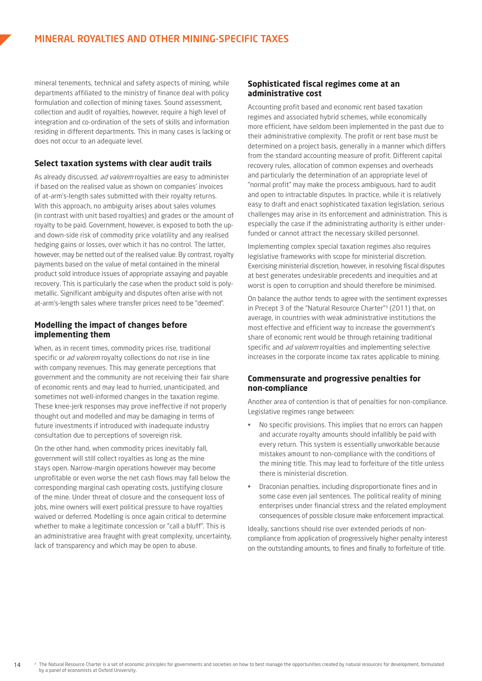mineral tenements, technical and safety aspects of mining, while departments affiliated to the ministry of finance deal with policy formulation and collection of mining taxes. Sound assessment, collection and audit of royalties, however, require a high level of integration and co-ordination of the sets of skills and information residing in different departments. This in many cases is lacking or does not occur to an adequate level.

#### **Select taxation systems with clear audit trails**

As already discussed, ad valorem royalties are easy to administer if based on the realised value as shown on companies' invoices of at-arm's-length sales submitted with their royalty returns. With this approach, no ambiguity arises about sales volumes (in contrast with unit based royalties) and grades or the amount of royalty to be paid. Government, however, is exposed to both the upand down-side risk of commodity price volatility and any realised hedging gains or losses, over which it has no control. The latter, however, may be netted out of the realised value. By contrast, royalty payments based on the value of metal contained in the mineral product sold introduce issues of appropriate assaying and payable recovery. This is particularly the case when the product sold is polymetallic. Significant ambiguity and disputes often arise with not at-arm's-length sales where transfer prices need to be "deemed".

#### **Modelling the impact of changes before implementing them**

When, as in recent times, commodity prices rise, traditional specific or *ad valorem* royalty collections do not rise in line with company revenues. This may generate perceptions that government and the community are not receiving their fair share of economic rents and may lead to hurried, unanticipated, and sometimes not well-informed changes in the taxation regime. These knee-jerk responses may prove ineffective if not properly thought out and modelled and may be damaging in terms of future investments if introduced with inadequate industry consultation due to perceptions of sovereign risk.

On the other hand, when commodity prices inevitably fall, government will still collect royalties as long as the mine stays open. Narrow-margin operations however may become unprofitable or even worse the net cash flows may fall below the corresponding marginal cash operating costs, justifying closure of the mine. Under threat of closure and the consequent loss of jobs, mine owners will exert political pressure to have royalties waived or deferred. Modelling is once again critical to determine whether to make a legitimate concession or "call a bluff". This is an administrative area fraught with great complexity, uncertainty, lack of transparency and which may be open to abuse.

#### **Sophisticated fiscal regimes come at an administrative cost**

Accounting profit based and economic rent based taxation regimes and associated hybrid schemes, while economically more efficient, have seldom been implemented in the past due to their administrative complexity. The profit or rent base must be determined on a project basis, generally in a manner which differs from the standard accounting measure of profit. Different capital recovery rules, allocation of common expenses and overheads and particularly the determination of an appropriate level of "normal profit" may make the process ambiguous, hard to audit and open to intractable disputes. In practice, while it is relatively easy to draft and enact sophisticated taxation legislation, serious challenges may arise in its enforcement and administration. This is especially the case if the administrating authority is either underfunded or cannot attract the necessary skilled personnel.

Implementing complex special taxation regimes also requires legislative frameworks with scope for ministerial discretion. Exercising ministerial discretion, however, in resolving fiscal disputes at best generates undesirable precedents and inequities and at worst is open to corruption and should therefore be minimised.

On balance the author tends to agree with the sentiment expresses in Precept 3 of the "Natural Resource Charter"3 (2011) that, on average, in countries with weak administrative institutions the most effective and efficient way to increase the government's share of economic rent would be through retaining traditional specific and *ad valorem* royalties and implementing selective increases in the corporate income tax rates applicable to mining.

#### **Commensurate and progressive penalties for non-compliance**

Another area of contention is that of penalties for non-compliance. Legislative regimes range between:

- No specific provisions. This implies that no errors can happen and accurate royalty amounts should infallibly be paid with every return. This system is essentially unworkable because mistakes amount to non-compliance with the conditions of the mining title. This may lead to forfeiture of the title unless there is ministerial discretion.
- Draconian penalties, including disproportionate fines and in some case even jail sentences. The political reality of mining enterprises under financial stress and the related employment consequences of possible closure make enforcement impractical.

Ideally, sanctions should rise over extended periods of noncompliance from application of progressively higher penalty interest on the outstanding amounts, to fines and finally to forfeiture of title.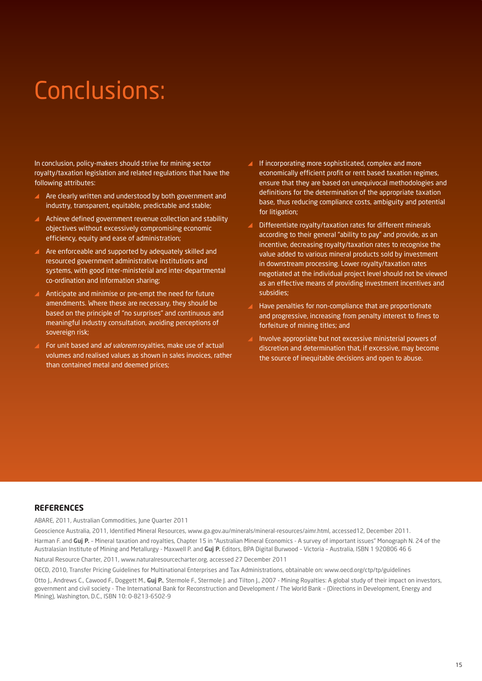# Conclusions:

In conclusion, policy-makers should strive for mining sector royalty/taxation legislation and related regulations that have the following attributes:

- Are clearly written and understood by both government and industry, transparent, equitable, predictable and stable;
- Achieve defined government revenue collection and stability objectives without excessively compromising economic efficiency, equity and ease of administration;
- Are enforceable and supported by adequately skilled and resourced government administrative institutions and systems, with good inter-ministerial and inter-departmental co-ordination and information sharing;
- Anticipate and minimise or pre-empt the need for future amendments. Where these are necessary, they should be based on the principle of "no surprises" and continuous and meaningful industry consultation, avoiding perceptions of sovereign risk;
- For unit based and *ad valorem* royalties, make use of actual volumes and realised values as shown in sales invoices, rather than contained metal and deemed prices;
- If incorporating more sophisticated, complex and more economically efficient profit or rent based taxation regimes, ensure that they are based on unequivocal methodologies and definitions for the determination of the appropriate taxation base, thus reducing compliance costs, ambiguity and potential for litigation;
- Differentiate royalty/taxation rates for different minerals according to their general "ability to pay" and provide, as an incentive, decreasing royalty/taxation rates to recognise the value added to various mineral products sold by investment in downstream processing. Lower royalty/taxation rates negotiated at the individual project level should not be viewed as an effective means of providing investment incentives and subsidies;
- Have penalties for non-compliance that are proportionate and progressive, increasing from penalty interest to fines to forfeiture of mining titles; and
- Involve appropriate but not excessive ministerial powers of discretion and determination that, if excessive, may become the source of inequitable decisions and open to abuse.

#### **REFERENCES**

ABARE, 2011, Australian Commodities, June Quarter 2011

Geoscience Australia, 2011, Identified Mineral Resources, www.ga.gov.au/minerals/mineral-resources/aimr.html, accessed12, December 2011.

Harman F. and **Guj P.** – Mineral taxation and royalties, Chapter 15 in "Australian Mineral Economics - A survey of important issues" Monograph N. 24 of the Australasian Institute of Mining and Metallurgy - Maxwell P. and **Guj P.** Editors, BPA Digital Burwood – Victoria – Australia, ISBN 1 920806 46 6

Natural Resource Charter, 2011, www.naturalresourcecharter.org, accessed 27 December 2011

OECD, 2010, Transfer Pricing Guidelines for Multinational Enterprises and Tax Administrations, obtainable on: www.oecd.org/ctp/tp/guidelines

Otto J., Andrews C., Cawood F., Doggett M., Guj P., Stermole F., Stermole J. and Tilton J., 2007 - Mining Royalties: A global study of their impact on investors, government and civil society - The International Bank for Reconstruction and Development / The World Bank – (Directions in Development, Energy and Mining), Washington, D.C., ISBN 10: 0-8213-6502-9